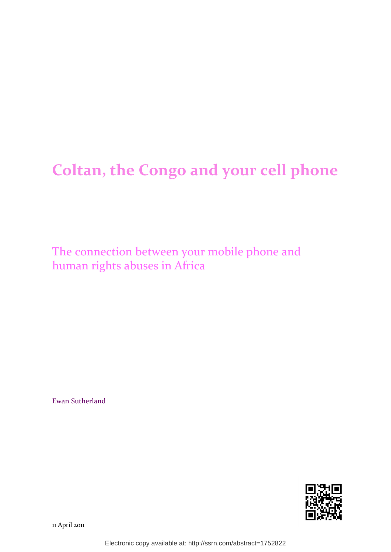# <span id="page-0-0"></span>**Coltan, the Congo and your cell phone**

The connection between your mobile phone and human rights abuses in Africa

Ewan Sutherland



11 April 2011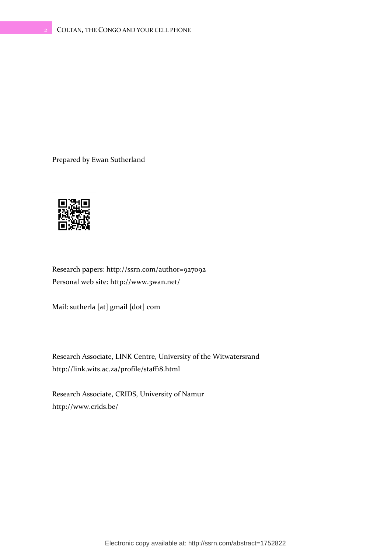Prepared by Ewan Sutherland



Research papers: http://ssrn.com/author=927092 Personal web site: http://www.3wan.net/

Mail: sutherla [at] gmail [dot] com

Research Associate, LINK Centre, University of the Witwatersrand http://link.wits.ac.za/profile/staff18.html

Research Associate, CRIDS, University of Namur http://www.crids.be/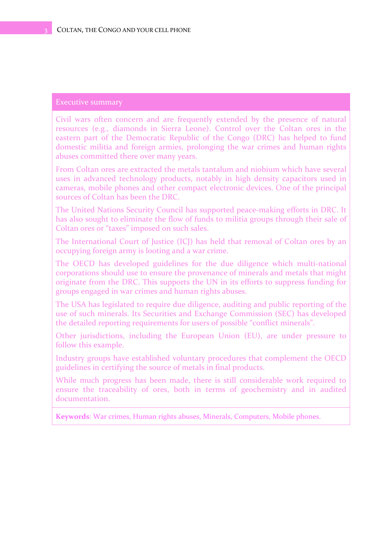#### Executive summary

Civil wars often concern and are frequently extended by the presence of natural resources (e.g., diamonds in Sierra Leone). Control over the Coltan ores in the eastern part of the Democratic Republic of the Congo (DRC) has helped to fund domestic militia and foreign armies, prolonging the war crimes and human rights abuses committed there over many years.

From Coltan ores are extracted the metals tantalum and niobium which have several uses in advanced technology products, notably in high density capacitors used in cameras, mobile phones and other compact electronic devices. One of the principal sources of Coltan has been the DRC.

The United Nations Security Council has supported peace-making efforts in DRC. It has also sought to eliminate the flow of funds to militia groups through their sale of Coltan ores or "taxes" imposed on such sales.

The International Court of Justice (ICJ) has held that removal of Coltan ores by an occupying foreign army is looting and a war crime.

The OECD has developed guidelines for the due diligence which multi-national corporations should use to ensure the provenance of minerals and metals that might originate from the DRC. This supports the UN in its efforts to suppress funding for groups engaged in war crimes and human rights abuses.

The USA has legislated to require due diligence, auditing and public reporting of the use of such minerals. Its Securities and Exchange Commission (SEC) has developed the detailed reporting requirements for users of possible "conflict minerals".

Other jurisdictions, including the European Union (EU), are under pressure to follow this example.

Industry groups have established voluntary procedures that complement the OECD guidelines in certifying the source of metals in final products.

While much progress has been made, there is still considerable work required to ensure the traceability of ores, both in terms of geochemistry and in audited documentation.

**Keywords**: War crimes, Human rights abuses, Minerals, Computers, Mobile phones.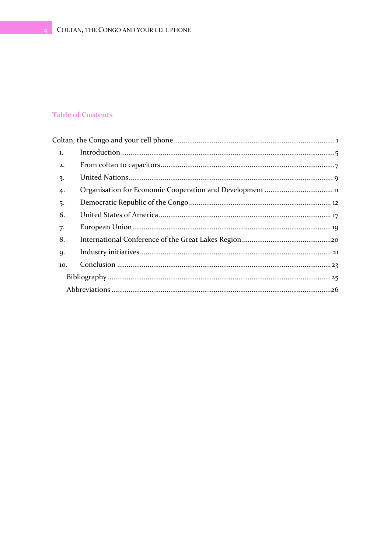# **Table of Contents**

| $\mathbf{1}$ |  |  |  |
|--------------|--|--|--|
| 2.           |  |  |  |
| 3.           |  |  |  |
| 4.           |  |  |  |
| 5.           |  |  |  |
| 6.           |  |  |  |
| 7.           |  |  |  |
| 8.           |  |  |  |
| 9.           |  |  |  |
| 10.          |  |  |  |
|              |  |  |  |
|              |  |  |  |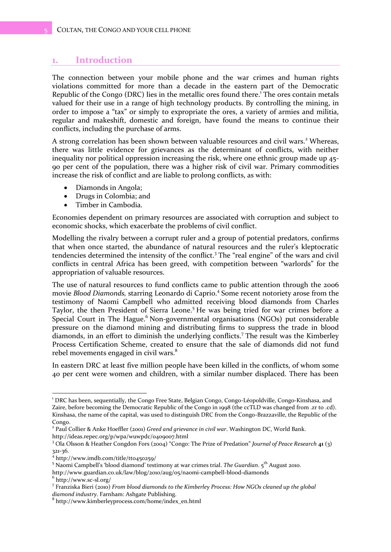## <span id="page-4-0"></span>**1. Introduction**

The connection between your mobile phone and the war crimes and human rights violations committed for more than a decade in the eastern part of the Democratic Republic of the Congo (DRC) lies in the metallic ores found there.<sup>1</sup> The ores contain metals valued for their use in a range of high technology products. By controlling the mining, in order to impose a "tax" or simply to expropriate the ores, a variety of armies and militia, regular and makeshift, domestic and foreign, have found the means to continue their conflicts, including the purchase of arms.

A strong correlation has been shown between valuable resources and civil wars.<sup>2</sup> Whereas, there was little evidence for grievances as the determinant of conflicts, with neither inequality nor political oppression increasing the risk, where one ethnic group made up 45- 90 per cent of the population, there was a higher risk of civil war. Primary commodities increase the risk of conflict and are liable to prolong conflicts, as with:

- Diamonds in Angola;
- Drugs in Colombia; and
- Timber in Cambodia.

Economies dependent on primary resources are associated with corruption and subject to economic shocks, which exacerbate the problems of civil conflict.

Modelling the rivalry between a corrupt ruler and a group of potential predators, confirms that when once started, the abundance of natural resources and the ruler's kleptocratic tendencies determined the intensity of the conflict.<sup>3</sup> The "real engine" of the wars and civil conflicts in central Africa has been greed, with competition between "warlords" for the appropriation of valuable resources.

The use of natural resources to fund conflicts came to public attention through the 2006 movie *Blood Diamonds,* starring Leonardo di Caprio. 4 Some recent notoriety arose from the testimony of Naomi Campbell who admitted receiving blood diamonds from Charles Taylor, the then President of Sierra Leone.<sup>5</sup> He was being tried for war crimes before a Special Court in The Hague.<sup>6</sup> Non-governmental organisations (NGOs) put considerable pressure on the diamond mining and distributing firms to suppress the trade in blood diamonds, in an effort to diminish the underlying conflicts. <sup>7</sup> The result was the Kimberley Process Certification Scheme, created to ensure that the sale of diamonds did not fund rebel movements engaged in civil wars.<sup>8</sup>

In eastern DRC at least five million people have been killed in the conflicts, of whom some 40 per cent were women and children, with a similar number displaced. There has been

-

http://www.guardian.co.uk/law/blog/2010/aug/05/naomi-campbell-blood-diamonds 6 http://www.sc-sl.org/

<sup>1</sup> DRC has been, sequentially, the Congo Free State, Belgian Congo, Congo-Léopoldville, Congo-Kinshasa, and Zaire, before becoming the Democratic Republic of the Congo in 1998 (the ccTLD was changed from .zr to .cd). Kinshasa, the name of the capital, was used to distinguish DRC from the Congo-Brazzaville, the Republic of the Congo.

<sup>2</sup> Paul Collier & Anke Hoeffler (2001) *Greed and grievance in civil war*. Washington DC, World Bank. http://ideas.repec.org/p/wpa/wuwpdc/0409007.html

<sup>3</sup> Ola Olsson & Heather Congdon Fors (2004) "Congo: The Prize of Predation" *Journal of Peace Research* **41** (3) 321-36.

<sup>4</sup> http://www.imdb.com/title/tt0450259/

<sup>&</sup>lt;sup>5</sup> Naomi Campbell's 'blood diamond' testimony at war crimes trial. *The Guardian*. 5<sup>th</sup> August 2010.

<sup>7</sup> Franziska Bieri (2010) *From blood diamonds to the Kimberley Process: How NGOs cleaned up the global diamond industry*. Farnham: Ashgate Publishing.

<sup>8</sup> http://www.kimberleyprocess.com/home/index\_en.html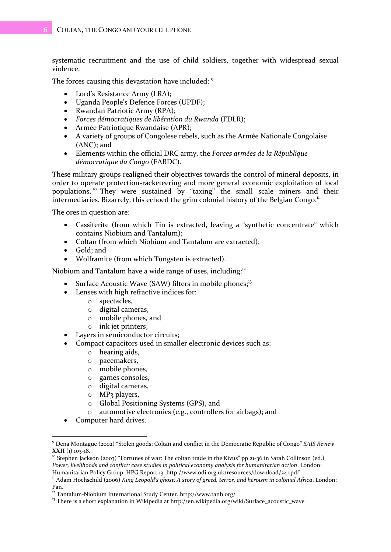systematic recruitment and the use of child soldiers, together with widespread sexual violence.

The forces causing this devastation have included: 9

- Lord's Resistance Army (LRA);
- Uganda People's Defence Forces (UPDF);
- Rwandan Patriotic Army (RPA);
- *Forces démocratiques de libération du Rwanda* (FDLR);
- Armée Patriotique Rwandaise (APR);
- A variety of groups of Congolese rebels, such as the Armée Nationale Congolaise (ANC); and
- Elements within the official DRC army, the *Forces armées de la République démocratique du Congo* (FARDC).

These military groups realigned their objectives towards the control of mineral deposits, in order to operate protection-racketeering and more general economic exploitation of local populations. <sup>10</sup> They were sustained by "taxing" the small scale miners and their intermediaries. Bizarrely, this echoed the grim colonial history of the Belgian Congo.<sup>11</sup>

The ores in question are:

- Cassiterite (from which Tin is extracted, leaving a "synthetic concentrate" which contains Niobium and Tantalum);
- Coltan (from which Niobium and Tantalum are extracted);
- Gold: and
- Wolframite (from which Tungsten is extracted).

Niobium and Tantalum have a wide range of uses, including:<sup>12</sup>

- Surface Acoustic Wave (SAW) filters in mobile phones;<sup>13</sup>
- Lenses with high refractive indices for:
	- o spectacles,
	- o digital cameras,
	- o mobile phones, and
	- o ink jet printers;
- Layers in semiconductor circuits;
- Compact capacitors used in smaller electronic devices such as:
	- o hearing aids,
	- o pacemakers,
	- o mobile phones,
	- o games consoles,
	- o digital cameras,
	- o MP3 players,
	- o Global Positioning Systems (GPS), and
	- o automotive electronics (e.g., controllers for airbags); and
- Computer hard drives.

-

<sup>9</sup> Dena Montague (2002) "Stolen goods: Coltan and conflict in the Democratic Republic of Congo" *SAIS Review* **XXII** (1) 103-18.

 $10$  Stephen Jackson (2003) "Fortunes of war: The coltan trade in the Kivus" pp 21-36 in Sarah Collinson (ed.) *Power, livelihoods and conflict: case studies in political economy analysis for humanitarian action*. London:

Humanitarian Policy Group. HPG Report 13. http://www.odi.org.uk/resources/download/241.pdf

<sup>&</sup>lt;sup>11</sup> Adam Hochschild (2006) *King Leopold's ghost: A story of greed, terror, and heroism in colonial Africa. London:* Pan.

<sup>&</sup>lt;sup>12</sup> Tantalum-Niobium International Study Center. http://www.tanb.org/

<sup>&</sup>lt;sup>13</sup> There is a short explanation in Wikipedia at http://en.wikipedia.org/wiki/Surface\_acoustic\_wave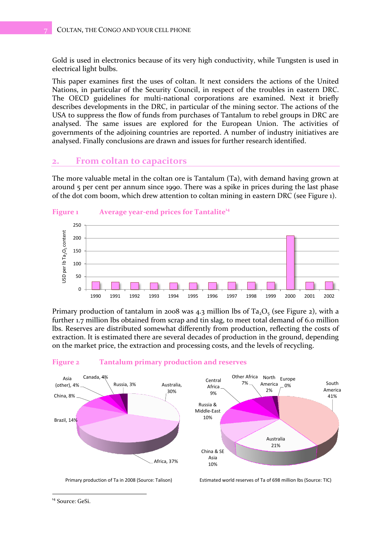Gold is used in electronics because of its very high conductivity, while Tungsten is used in electrical light bulbs.

This paper examines first the uses of coltan. It next considers the actions of the United Nations, in particular of the Security Council, in respect of the troubles in eastern DRC. The OECD guidelines for multi-national corporations are examined. Next it briefly describes developments in the DRC, in particular of the mining sector. The actions of the USA to suppress the flow of funds from purchases of Tantalum to rebel groups in DRC are analysed. The same issues are explored for the European Union. The activities of governments of the adjoining countries are reported. A number of industry initiatives are analysed. Finally conclusions are drawn and issues for further research identified.

## <span id="page-6-0"></span>**2. From coltan to capacitors**

The more valuable metal in the coltan ore is Tantalum (Ta), with demand having grown at around  $\overline{5}$  per cent per annum since 1990. There was a spike in prices during the last phase of the dot com boom, which drew attention to coltan mining in eastern DRC (see [Figure 1\)](#page-6-1).

<span id="page-6-1"></span>

Primary production of tantalum in 2008 was 4.3 million lbs of  $Ta_2O_5$  (see [Figure 2\)](#page-6-2), with a further 1.7 million lbs obtained from scrap and tin slag, to meet total demand of 6.0 million lbs. Reserves are distributed somewhat differently from production, reflecting the costs of extraction. It is estimated there are several decades of production in the ground, depending on the market price, the extraction and processing costs, and the levels of recycling.

#### <span id="page-6-2"></span>**Figure 2 Tantalum primary production and reserves**



Primary production of Ta in 2008 (Source: Talison) Estimated world reserves of Ta of 698 million lbs (Source: TIC)

1 <sup>14</sup> Source: GeSi.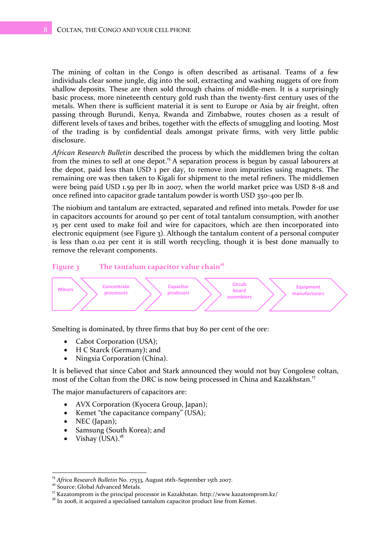The mining of coltan in the Congo is often described as artisanal. Teams of a few individuals clear some jungle, dig into the soil, extracting and washing nuggets of ore from shallow deposits. These are then sold through chains of middle-men. It is a surprisingly basic process, more nineteenth century gold rush than the twenty-first century uses of the metals. When there is sufficient material it is sent to Europe or Asia by air freight, often passing through Burundi, Kenya, Rwanda and Zimbabwe, routes chosen as a result of different levels of taxes and bribes, together with the effects of smuggling and looting. Most of the trading is by confidential deals amongst private firms, with very little public disclosure.

*African Research Bulletin* described the process by which the middlemen bring the coltan from the mines to sell at one depot.<sup>15</sup> A separation process is begun by casual labourers at the depot, paid less than USD 1 per day, to remove iron impurities using magnets. The remaining ore was then taken to Kigali for shipment to the metal refiners. The middlemen were being paid USD 1.59 per lb in 2007, when the world market price was USD 8-18 and once refined into capacitor grade tantalum powder is worth USD 350-400 per lb.

The niobium and tantalum are extracted, separated and refined into metals. Powder for use in capacitors accounts for around 50 per cent of total tantalum consumption, with another 15 per cent used to make foil and wire for capacitors, which are then incorporated into electronic equipment (see [Figure 3\)](#page-7-0). Although the tantalum content of a personal computer is less than 0.02 per cent it is still worth recycling, though it is best done manually to remove the relevant components.

#### <span id="page-7-0"></span>**Figure 3 The tantalum capacitor value chain<sup>16</sup>**



Smelting is dominated, by three firms that buy 80 per cent of the ore:

- Cabot Corporation (USA);
- H C Starck (Germany); and
- Ningxia Corporation (China).

It is believed that since Cabot and Stark announced they would not buy Congolese coltan, most of the Coltan from the DRC is now being processed in China and Kazakhstan.<sup>17</sup>

The major manufacturers of capacitors are:

- AVX Corporation (Kyocera Group, Japan);
- Kemet "the capacitance company" (USA);
- NEC (Japan);
- Samsung (South Korea); and
- Vishay  $(USA).^{18}$

1

<sup>&</sup>lt;sup>15</sup> Africa Research Bulletin No. 17533, August 16th-September 15th 2007.

<sup>&</sup>lt;sup>16</sup> Source: Global Advanced Metals.

<sup>&</sup>lt;sup>17</sup> Kazatomprom is the principal processor in Kazakhstan. http://www.kazatomprom.kz/

<sup>&</sup>lt;sup>18</sup> In 2008, it acquired a specialised tantalum capacitor product line from Kemet.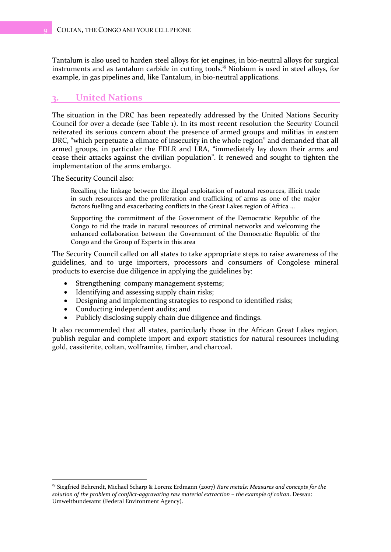Tantalum is also used to harden steel alloys for jet engines, in bio-neutral alloys for surgical instruments and as tantalum carbide in cutting tools.<sup>19</sup> Niobium is used in steel alloys, for example, in gas pipelines and, like Tantalum, in bio-neutral applications.

# <span id="page-8-0"></span>**3. United Nations**

The situation in the DRC has been repeatedly addressed by the United Nations Security Council for over a decade (see [Table 1\)](#page-9-0). In its most recent resolution the Security Council reiterated its serious concern about the presence of armed groups and militias in eastern DRC, "which perpetuate a climate of insecurity in the whole region" and demanded that all armed groups, in particular the FDLR and LRA, "immediately lay down their arms and cease their attacks against the civilian population". It renewed and sought to tighten the implementation of the arms embargo.

The Security Council also:

-

Recalling the linkage between the illegal exploitation of natural resources, illicit trade in such resources and the proliferation and trafficking of arms as one of the major factors fuelling and exacerbating conflicts in the Great Lakes region of Africa …

Supporting the commitment of the Government of the Democratic Republic of the Congo to rid the trade in natural resources of criminal networks and welcoming the enhanced collaboration between the Government of the Democratic Republic of the Congo and the Group of Experts in this area

The Security Council called on all states to take appropriate steps to raise awareness of the guidelines, and to urge importers, processors and consumers of Congolese mineral products to exercise due diligence in applying the guidelines by:

- Strengthening company management systems;
- Identifying and assessing supply chain risks;
- Designing and implementing strategies to respond to identified risks;
- Conducting independent audits; and
- Publicly disclosing supply chain due diligence and findings.

It also recommended that all states, particularly those in the African Great Lakes region, publish regular and complete import and export statistics for natural resources including gold, cassiterite, coltan, wolframite, timber, and charcoal.

<sup>&</sup>lt;sup>19</sup> Siegfried Behrendt, Michael Scharp & Lorenz Erdmann (2007) *Rare metals: Measures and concepts for the solution of the problem of conflict-aggravating raw material extraction – the example of coltan*. Dessau: Umweltbundesamt (Federal Environment Agency).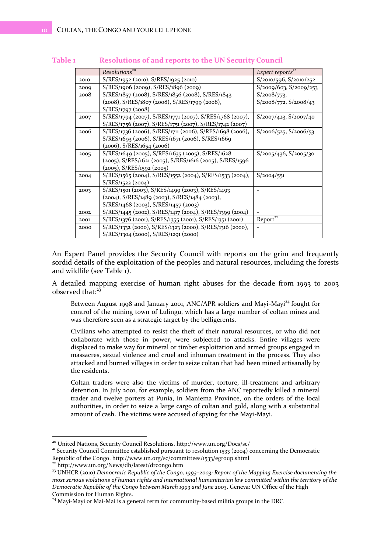|      | Resolutions <sup>20</sup>                                | Expert reports <sup>21</sup> |
|------|----------------------------------------------------------|------------------------------|
| 2010 | S/RES/1952 (2010), S/RES/1925 (2010)                     | S/2010/596, S/2010/252       |
| 2009 | S/RES/1906 (2009), S/RES/1896 (2009)                     | S/2009/603, S/2009/253       |
| 2008 | S/RES/1857 (2008), S/RES/1856 (2008), S/RES/1843         | S/2008/773                   |
|      | (2008), S/RES/1807 (2008), S/RES/1799 (2008),            | S/2008/772, S/2008/43        |
|      | S/RES/1797 (2008)                                        |                              |
| 2007 | S/RES/1794 (2007), S/RES/1771 (2007), S/RES/1768 (2007), | S/2007/423, S/2007/40        |
|      | S/RES/1756 (2007), S/RES/1751 (2007), S/RES/1742 (2007)  |                              |
| 2006 | S/RES/1736 (2006), S/RES/1711 (2006), S/RES/1698 (2006), | S/2006/525, S/2006/53        |
|      | $S/RES/1693$ (2006), $S/RES/1671$ (2006), $S/RES/1669$   |                              |
|      | $(2006)$ , S/RES/1654 $(2006)$                           |                              |
| 2005 | $S/RES/1649$ (2005), $S/RES/1635$ (2005), $S/RES/1628$   | S/2005/436, S/2005/30        |
|      | (2005), S/RES/1621 (2005), S/RES/1616 (2005), S/RES/1596 |                              |
|      | $(2005)$ , S/RES/1592 (2005)                             |                              |
| 2004 | S/RES/1565 (2004), S/RES/1552 (2004), S/RES/1533 (2004), | S/2004/551                   |
|      | $S/RES/1522$ (2004)                                      |                              |
| 2003 | $S/RES/1501$ (2003), $S/RES/1499$ (2003), $S/RES/1493$   |                              |
|      | $(2004)$ , S/RES/1489 (2003), S/RES/1484 (2003),         |                              |
|      | $S/RES/1468$ (2003), $S/RES/1457$ (2003)                 |                              |
| 2002 | S/RES/1445 (2002), S/RES/1417 (2004), S/RES/1399 (2004)  |                              |
| 2001 | S/RES/1376 (2001), S/RES/1355 (2001), S/RES/1351 (2001)  | Report <sup>22</sup>         |
| 2000 | S/RES/1332 (2000), S/RES/1323 (2000), S/RES/1316 (2000), |                              |
|      | S/RES/1304 (2000), S/RES/1291 (2000)                     |                              |
|      |                                                          |                              |

#### <span id="page-9-0"></span>**Table 1 Resolutions of and reports to the UN Security Council**

An Expert Panel provides the Security Council with reports on the grim and frequently sordid details of the exploitation of the peoples and natural resources, including the forests and wildlife (see [Table 1\)](#page-9-0).

A detailed mapping exercise of human right abuses for the decade from 1993 to 2003 observed that:<sup>23</sup>

Between August 1998 and January 2001, ANC/APR soldiers and Mayi-Mayi<sup>24</sup> fought for control of the mining town of Lulingu, which has a large number of coltan mines and was therefore seen as a strategic target by the belligerents.

Civilians who attempted to resist the theft of their natural resources, or who did not collaborate with those in power, were subjected to attacks. Entire villages were displaced to make way for mineral or timber exploitation and armed groups engaged in massacres, sexual violence and cruel and inhuman treatment in the process. They also attacked and burned villages in order to seize coltan that had been mined artisanally by the residents.

Coltan traders were also the victims of murder, torture, ill-treatment and arbitrary detention. In July 2001, for example, soldiers from the ANC reportedly killed a mineral trader and twelve porters at Punia, in Maniema Province, on the orders of the local authorities, in order to seize a large cargo of coltan and gold, along with a substantial amount of cash. The victims were accused of spying for the Mayi-Mayi.

<sup>21</sup> Security Council Committee established pursuant to resolution 1533 (2004) concerning the Democratic Republic of the Congo. http://www.un.org/sc/committees/1533/egroup.shtml

-

<sup>&</sup>lt;sup>20</sup> United Nations, Security Council Resolutions. http://www.un.org/Docs/sc/

<sup>22</sup> http://www.un.org/News/dh/latest/drcongo.htm

<sup>23</sup> UNHCR (2010) *Democratic Republic of the Congo, 1993–2003: Report of the Mapping Exercise documenting the most serious violations of human rights and international humanitarian law committed within the territory of the Democratic Republic of the Congo between March 1993 and June 2003*. Geneva: UN Office of the High Commission for Human Rights.

<sup>&</sup>lt;sup>24</sup> Mayi-Mayi or Mai-Mai is a general term for community-based militia groups in the DRC.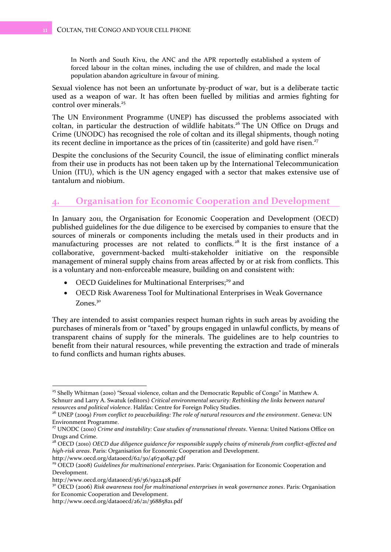In North and South Kivu, the ANC and the APR reportedly established a system of forced labour in the coltan mines, including the use of children, and made the local population abandon agriculture in favour of mining.

Sexual violence has not been an unfortunate by-product of war, but is a deliberate tactic used as a weapon of war. It has often been fuelled by militias and armies fighting for control over minerals.<sup>25</sup>

The UN Environment Programme (UNEP) has discussed the problems associated with coltan, in particular the destruction of wildlife habitats.<sup>26</sup> The UN Office on Drugs and Crime (UNODC) has recognised the role of coltan and its illegal shipments, though noting its recent decline in importance as the prices of tin (cassiterite) and gold have risen.<sup>27</sup>

Despite the conclusions of the Security Council, the issue of eliminating conflict minerals from their use in products has not been taken up by the International Telecommunication Union (ITU), which is the UN agency engaged with a sector that makes extensive use of tantalum and niobium.

## <span id="page-10-0"></span>**4. Organisation for Economic Cooperation and Development**

In January 2011, the Organisation for Economic Cooperation and Development (OECD) published guidelines for the due diligence to be exercised by companies to ensure that the sources of minerals or components including the metals used in their products and in manufacturing processes are not related to conflicts.<sup>28</sup> It is the first instance of a collaborative, government-backed multi-stakeholder initiative on the responsible management of mineral supply chains from areas affected by or at risk from conflicts. This is a voluntary and non-enforceable measure, building on and consistent with:

- OECD Guidelines for Multinational Enterprises;<sup>29</sup> and
- OECD Risk Awareness Tool for Multinational Enterprises in Weak Governance Zones.<sup>30</sup>

They are intended to assist companies respect human rights in such areas by avoiding the purchases of minerals from or "taxed" by groups engaged in unlawful conflicts, by means of transparent chains of supply for the minerals. The guidelines are to help countries to benefit from their natural resources, while preventing the extraction and trade of minerals to fund conflicts and human rights abuses.

<u>.</u>

<sup>&</sup>lt;sup>25</sup> Shelly Whitman (2010) "Sexual violence, coltan and the Democratic Republic of Congo" in Matthew A. Schnurr and Larry A. Swatuk (editors) *Critical environmental security: Rethinking the links between natural resources and political violence*. Halifax: Centre for Foreign Policy Studies.

<sup>26</sup> UNEP (2009) *From conflict to peacebuilding: The role of natural resources and the environment*. Geneva: UN Environment Programme.

<sup>27</sup> UNODC (2010) *Crime and instability: Case studies of transnational threats*. Vienna: United Nations Office on Drugs and Crime.

<sup>28</sup> OECD (2010) *OECD due diligence guidance for responsible supply chains of minerals from conflict-affected and high-risk areas*. Paris: Organisation for Economic Cooperation and Development.

http://www.oecd.org/dataoecd/62/30/46740847.pdf

<sup>29</sup> OECD (2008) *Guidelines for multinational enterprises*. Paris: Organisation for Economic Cooperation and Development.

http://www.oecd.org/dataoecd/56/36/1922428.pdf

<sup>30</sup> OECD (2006) *Risk awareness tool for multinational enterprises in weak governance zones*. Paris: Organisation for Economic Cooperation and Development.

http://www.oecd.org/dataoecd/26/21/36885821.pdf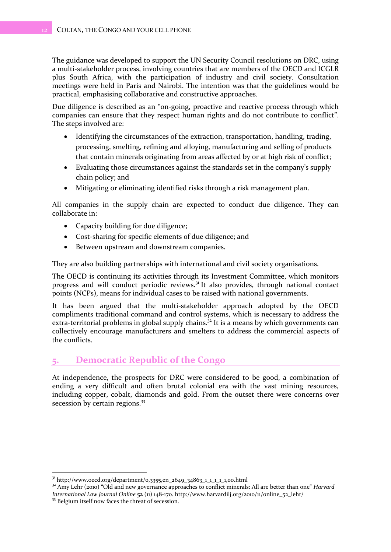The guidance was developed to support the UN Security Council resolutions on DRC, using a multi-stakeholder process, involving countries that are members of the OECD and ICGLR plus South Africa, with the participation of industry and civil society. Consultation meetings were held in Paris and Nairobi. The intention was that the guidelines would be practical, emphasising collaborative and constructive approaches.

Due diligence is described as an "on-going, proactive and reactive process through which companies can ensure that they respect human rights and do not contribute to conflict". The steps involved are:

- Identifying the circumstances of the extraction, transportation, handling, trading, processing, smelting, refining and alloying, manufacturing and selling of products that contain minerals originating from areas affected by or at high risk of conflict;
- Evaluating those circumstances against the standards set in the company's supply chain policy; and
- Mitigating or eliminating identified risks through a risk management plan.

All companies in the supply chain are expected to conduct due diligence. They can collaborate in:

- Capacity building for due diligence;
- Cost-sharing for specific elements of due diligence; and
- Between upstream and downstream companies.

They are also building partnerships with international and civil society organisations.

The OECD is continuing its activities through its Investment Committee, which monitors progress and will conduct periodic reviews.<sup>31</sup> It also provides, through national contact points (NCPs), means for individual cases to be raised with national governments.

It has been argued that the multi-stakeholder approach adopted by the OECD compliments traditional command and control systems, which is necessary to address the extra-territorial problems in global supply chains.<sup>32</sup> It is a means by which governments can collectively encourage manufacturers and smelters to address the commercial aspects of the conflicts.

# <span id="page-11-0"></span>**5. Democratic Republic of the Congo**

At independence, the prospects for DRC were considered to be good, a combination of ending a very difficult and often brutal colonial era with the vast mining resources, including copper, cobalt, diamonds and gold. From the outset there were concerns over secession by certain regions.<sup>33</sup>

1

<sup>&</sup>lt;sup>31</sup> http://www.oecd.org/department/0,3355,en\_2649\_34863\_1\_1\_1\_1,00.html

<sup>&</sup>lt;sup>32</sup> Amy Lehr (2010) "Old and new governance approaches to conflict minerals: All are better than one" *Harvard International Law Journal Online* **52** (11) 148-170. http://www.harvardilj.org/2010/11/online\_52\_lehr/

<sup>&</sup>lt;sup>33</sup> Belgium itself now faces the threat of secession.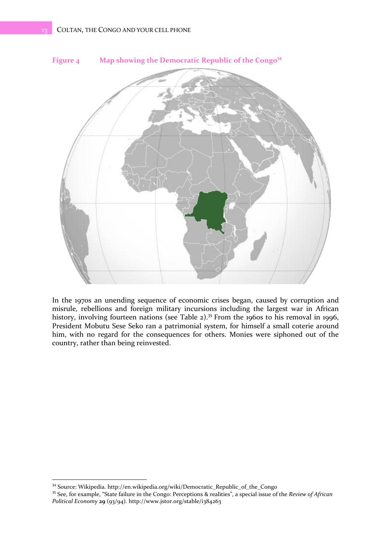

In the 1970s an unending sequence of economic crises began, caused by corruption and misrule, rebellions and foreign military incursions including the largest war in African history, involving fourteen nations (see [Table 2\)](#page-13-0).<sup>35</sup> From the 1960s to his removal in 1996, President Mobutu Sese Seko ran a patrimonial system, for himself a small coterie around him, with no regard for the consequences for others. Monies were siphoned out of the country, rather than being reinvested.

-

<sup>34</sup> Source: Wikipedia. http://en.wikipedia.org/wiki/Democratic\_Republic\_of\_the\_Congo

<sup>35</sup> See, for example, "State failure in the Congo: Perceptions & realities", a special issue of the *Review of African Political Economy* **29** (93/94). http://www.jstor.org/stable/i384263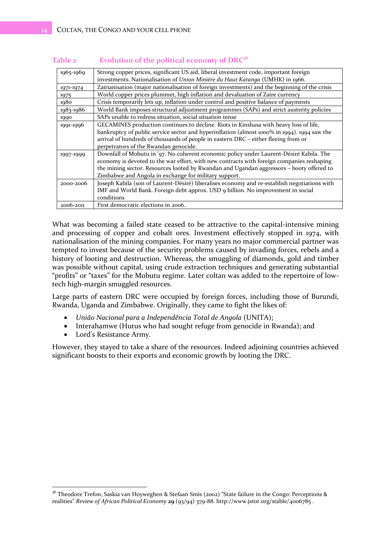| 1965-1969 | Strong copper prices, significant US aid, liberal investment code, important foreign          |  |
|-----------|-----------------------------------------------------------------------------------------------|--|
|           | investments. Nationalisation of Union Minière du Haut Katanga (UMHK) in 1966.                 |  |
| 1971-1974 | Zairianisation (major nationalisation of foreign investments) and the beginning of the crisis |  |
| 1975      | World copper prices plummet, high inflation and devaluation of Zaire currency                 |  |
| 1980      | Crisis temporarily lets up, inflation under control and positive balance of payments          |  |
| 1983-1986 | World Bank imposes structural adjustment programmes (SAPs) and strict austerity policies      |  |
| 1990      | SAPs unable to redress situation, social situation tense                                      |  |
| 1991-1996 | GECAMINES production continues to decline. Riots in Kinshasa with heavy loss of life,         |  |
|           | bankruptcy of public service sector and hyperinflation (almost 1000% in 1994). 1994 saw the   |  |
|           | arrival of hundreds of thousands of people in eastern DRC - either fleeing from or            |  |
|           | perpetrators of the Rwandan genocide.                                                         |  |
| 1997-1999 | Downfall of Mobutu in '97. No coherent economic policy under Laurent-Désiré Kabila. The       |  |
|           | economy is devoted to the war effort, with new contracts with foreign companies reshaping     |  |
|           | the mining sector. Resources looted by Rwandan and Ugandan aggressors - booty offered to      |  |
|           | Zimbabwe and Angola in exchange for military support.                                         |  |
| 2000-2006 | Joseph Kabila (son of Laurent-Désiré) liberalises economy and re-establish negotiations with  |  |
|           | IMF and World Bank. Foreign debt approx. USD 9 billion. No improvement in social              |  |
|           | conditions                                                                                    |  |
| 2006-2011 | First democratic elections in 2006.                                                           |  |

#### <span id="page-13-0"></span>**Table 2 Evolution of the political economy of DRC<sup>36</sup>**

What was becoming a failed state ceased to be attractive to the capital-intensive mining and processing of copper and cobalt ores. Investment effectively stopped in 1974, with nationalisation of the mining companies. For many years no major commercial partner was tempted to invest because of the security problems caused by invading forces, rebels and a history of looting and destruction. Whereas, the smuggling of diamonds, gold and timber was possible without capital, using crude extraction techniques and generating substantial "profits" or "taxes" for the Mobutu regime. Later coltan was added to the repertoire of lowtech high-margin smuggled resources.

Large parts of eastern DRC were occupied by foreign forces, including those of Burundi, Rwanda, Uganda and Zimbabwe. Originally, they came to fight the likes of:

- *União Nacional para a Independência Total de Angola* (UNITA);
- Interahamwe (Hutus who had sought refuge from genocide in Rwanda); and
- Lord's Resistance Army.

1

However, they stayed to take a share of the resources. Indeed adjoining countries achieved significant boosts to their exports and economic growth by looting the DRC.

<sup>&</sup>lt;sup>36</sup> Theodore Trefon, Saskia van Hoyweghen & Stefaan Smis (2002) "State failure in the Congo: Perceptions & realities" *Review of African Political Economy* **29** (93/94) 379-88. http://www.jstor.org/stable/4006785 .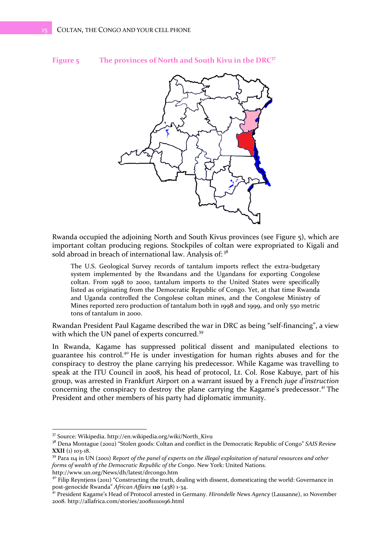#### <span id="page-14-0"></span>**Figure 5 The provinces of North and South Kivu in the DRC<sup>37</sup>**



Rwanda occupied the adjoining North and South Kivus provinces (see [Figure 5\)](#page-14-0), which are important coltan producing regions. Stockpiles of coltan were expropriated to Kigali and sold abroad in breach of international law. Analysis of:<sup>38</sup>

The U.S. Geological Survey records of tantalum imports reflect the extra-budgetary system implemented by the Rwandans and the Ugandans for exporting Congolese coltan. From 1998 to 2000, tantalum imports to the United States were specifically listed as originating from the Democratic Republic of Congo. Yet, at that time Rwanda and Uganda controlled the Congolese coltan mines, and the Congolese Ministry of Mines reported zero production of tantalum both in 1998 and 1999, and only 550 metric tons of tantalum in 2000.

Rwandan President Paul Kagame described the war in DRC as being "self-financing", a view with which the UN panel of experts concurred.<sup>39</sup>

In Rwanda, Kagame has suppressed political dissent and manipulated elections to guarantee his control.<sup>40</sup> He is under investigation for human rights abuses and for the conspiracy to destroy the plane carrying his predecessor. While Kagame was travelling to speak at the ITU Council in 2008, his head of protocol, Lt. Col. Rose Kabuye, part of his group, was arrested in Frankfurt Airport on a warrant issued by a French *juge d'instruction* concerning the conspiracy to destroy the plane carrying the Kagame's predecessor.<sup>41</sup> The President and other members of his party had diplomatic immunity.

<u>.</u>

<sup>37</sup> Source: Wikipedia. http://en.wikipedia.org/wiki/North\_Kivu

<sup>38</sup> Dena Montague (2002) "Stolen goods: Coltan and conflict in the Democratic Republic of Congo" *SAIS Review* **XXII** (1) 103-18.

<sup>39</sup> Para 114 in UN (2001) *Report of the panel of experts on the illegal exploitation of natural resources and other forms of wealth of the Democratic Republic of the Congo*. New York: United Nations. http://www.un.org/News/dh/latest/drcongo.htm

<sup>&</sup>lt;sup>40</sup> Filip Reyntjens (2011) "Constructing the truth, dealing with dissent, domesticating the world: Governance in post-genocide Rwanda" *African Affairs* **110** (438) 1-34.

<sup>41</sup> President Kagame's Head of Protocol arrested in Germany. *Hirondelle News Agency* (Lausanne), 10 November 2008. http://allafrica.com/stories/200811110196.html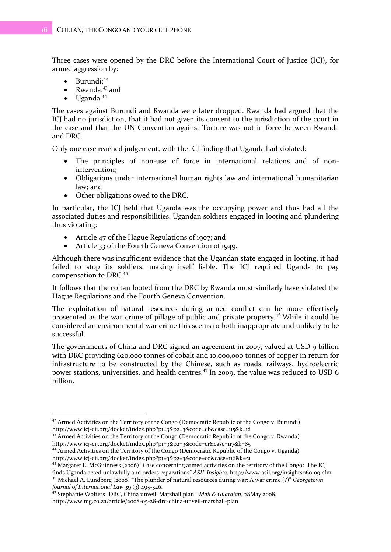Three cases were opened by the DRC before the International Court of Justice (ICJ), for armed aggression by:

- Burundi;<sup>42</sup>
- Rwanda; $43$  and
- $\bullet$  Uganda.<sup>44</sup>

-

The cases against Burundi and Rwanda were later dropped. Rwanda had argued that the ICJ had no jurisdiction, that it had not given its consent to the jurisdiction of the court in the case and that the UN Convention against Torture was not in force between Rwanda and DRC.

Only one case reached judgement, with the ICJ finding that Uganda had violated:

- The principles of non-use of force in international relations and of nonintervention;
- Obligations under international human rights law and international humanitarian law; and
- Other obligations owed to the DRC.

In particular, the ICJ held that Uganda was the occupying power and thus had all the associated duties and responsibilities. Ugandan soldiers engaged in looting and plundering thus violating:

- Article 47 of the Hague Regulations of 1907; and
- Article 33 of the Fourth Geneva Convention of 1949.

Although there was insufficient evidence that the Ugandan state engaged in looting, it had failed to stop its soldiers, making itself liable. The ICJ required Uganda to pay compensation to DRC.<sup>45</sup>

It follows that the coltan looted from the DRC by Rwanda must similarly have violated the Hague Regulations and the Fourth Geneva Convention.

The exploitation of natural resources during armed conflict can be more effectively prosecuted as the war crime of pillage of public and private property.<sup>46</sup> While it could be considered an environmental war crime this seems to both inappropriate and unlikely to be successful.

The governments of China and DRC signed an agreement in 2007, valued at USD 9 billion with DRC providing 620,000 tonnes of cobalt and 10,000,000 tonnes of copper in return for infrastructure to be constructed by the Chinese, such as roads, railways, hydroelectric power stations, universities, and health centres.<sup>47</sup> In 2009, the value was reduced to USD 6 billion.

<sup>45</sup> Margaret E. McGuinness (2006) "Case concerning armed activities on the territory of the Congo: The ICJ

<sup>&</sup>lt;sup>42</sup> Armed Activities on the Territory of the Congo (Democratic Republic of the Congo v. Burundi) http://www.icj-cij.org/docket/index.php?p1=3&p2=3&code=cb&case=115&k=1d

 $43$  Armed Activities on the Territory of the Congo (Democratic Republic of the Congo v. Rwanda)

http://www.icj-cij.org/docket/index.php?p1=3&p2=3&code=cr&case=117&k=85

<sup>&</sup>lt;sup>44</sup> Armed Activities on the Territory of the Congo (Democratic Republic of the Congo v. Uganda)

http://www.icj-cij.org/docket/index.php?p1=3&p2=3&code=co&case=116&k=51

finds Uganda acted unlawfully and orders reparations" *ASIL Insights*. http://www.asil.org/insights060109.cfm <sup>46</sup> Michael A. Lundberg (2008) "The plunder of natural resources during war: A war crime (?)" *Georgetown Journal of International Law* **39** (3) 495-526.

<sup>47</sup> Stephanie Wolters "DRC, China unveil 'Marshall plan'" *Mail & Guardian*, 28May 2008.

http://www.mg.co.za/article/2008-05-28-drc-china-unveil-marshall-plan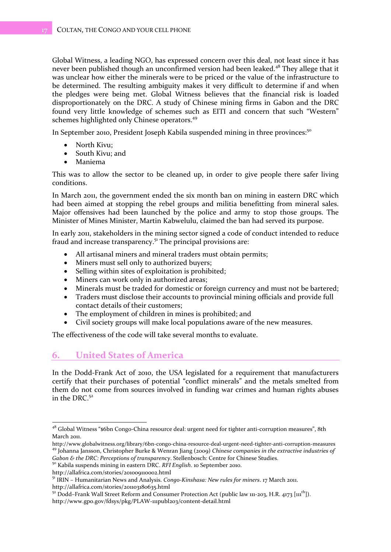Global Witness, a leading NGO, has expressed concern over this deal, not least since it has never been published though an unconfirmed version had been leaked.<sup>48</sup> They allege that it was unclear how either the minerals were to be priced or the value of the infrastructure to be determined. The resulting ambiguity makes it very difficult to determine if and when the pledges were being met. Global Witness believes that the financial risk is loaded disproportionately on the DRC. A study of Chinese mining firms in Gabon and the DRC found very little knowledge of schemes such as EITI and concern that such "Western" schemes highlighted only Chinese operators.<sup>49</sup>

In September 2010, President Joseph Kabila suspended mining in three provinces:<sup>50</sup>

- North Kivu;
- South Kivu; and
- Maniema

This was to allow the sector to be cleaned up, in order to give people there safer living conditions.

In March 2011, the government ended the six month ban on mining in eastern DRC which had been aimed at stopping the rebel groups and militia benefitting from mineral sales. Major offensives had been launched by the police and army to stop those groups. The Minister of Mines Minister, Martin Kabwelulu, claimed the ban had served its purpose.

In early 2011, stakeholders in the mining sector signed a code of conduct intended to reduce fraud and increase transparency.<sup>51</sup> The principal provisions are:

- All artisanal miners and mineral traders must obtain permits;
- Miners must sell only to authorized buyers;
- Selling within sites of exploitation is prohibited;
- Miners can work only in authorized areas;
- Minerals must be traded for domestic or foreign currency and must not be bartered;
- Traders must disclose their accounts to provincial mining officials and provide full contact details of their customers;
- The employment of children in mines is prohibited; and
- Civil society groups will make local populations aware of the new measures.

The effectiveness of the code will take several months to evaluate.

# <span id="page-16-0"></span>**6. United States of America**

In the Dodd-Frank Act of 2010, the USA legislated for a requirement that manufacturers certify that their purchases of potential "conflict minerals" and the metals smelted from them do not come from sources involved in funding war crimes and human rights abuses in the DRC.<sup>52</sup>

<sup>50</sup> Kabila suspends mining in eastern DRC. *RFI English*. 10 September 2010.

http://allafrica.com/stories/201009110002.html

<u>.</u>

<sup>&</sup>lt;sup>48</sup> Global Witness "\$6bn Congo-China resource deal: urgent need for tighter anti-corruption measures", 8th March 2011.

http://www.globalwitness.org/library/6bn-congo-china-resource-deal-urgent-need-tighter-anti-corruption-measures <sup>49</sup> Johanna Jansson, Christopher Burke & Wenran Jiang (2009) *Chinese companies in the extractive industries of Gabon & the DRC: Perceptions of transparency*. Stellenbosch: Centre for Chinese Studies.

<sup>51</sup> IRIN – Humanitarian News and Analysis. *Congo-Kinshasa: New rules for miners*. 17 March 2011. http://allafrica.com/stories/201103180635.html

<sup>&</sup>lt;sup>52</sup> Dodd–Frank Wall Street Reform and Consumer Protection Act (public law  $11-203$ , H.R.  $4173$  [ $11$ <sup>th</sup>]). http://www.gpo.gov/fdsys/pkg/PLAW-111publ203/content-detail.html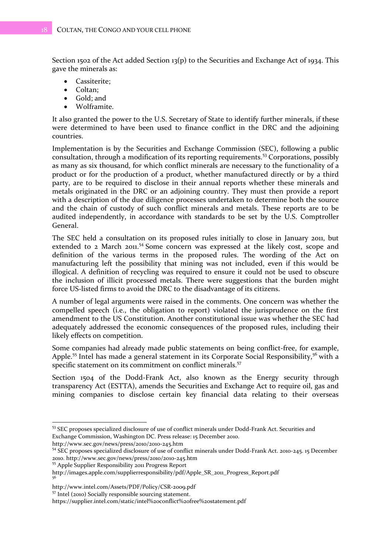Section 1502 of the Act added Section 13(p) to the Securities and Exchange Act of 1934. This gave the minerals as:

- Cassiterite;
- Coltan;
- Gold; and
- Wolframite.

It also granted the power to the U.S. Secretary of State to identify further minerals, if these were determined to have been used to finance conflict in the DRC and the adjoining countries.

Implementation is by the Securities and Exchange Commission (SEC), following a public consultation, through a modification of its reporting requirements.<sup>53</sup> Corporations, possibly as many as six thousand, for which conflict minerals are necessary to the functionality of a product or for the production of a product, whether manufactured directly or by a third party, are to be required to disclose in their annual reports whether these minerals and metals originated in the DRC or an adjoining country. They must then provide a report with a description of the due diligence processes undertaken to determine both the source and the chain of custody of such conflict minerals and metals. These reports are to be audited independently, in accordance with standards to be set by the U.S. Comptroller General.

The SEC held a consultation on its proposed rules initially to close in January 2011, but extended to 2 March 2011.<sup>54</sup> Some concern was expressed at the likely cost, scope and definition of the various terms in the proposed rules. The wording of the Act on manufacturing left the possibility that mining was not included, even if this would be illogical. A definition of recycling was required to ensure it could not be used to obscure the inclusion of illicit processed metals. There were suggestions that the burden might force US-listed firms to avoid the DRC to the disadvantage of its citizens.

A number of legal arguments were raised in the comments. One concern was whether the compelled speech (i.e., the obligation to report) violated the jurisprudence on the first amendment to the US Constitution. Another constitutional issue was whether the SEC had adequately addressed the economic consequences of the proposed rules, including their likely effects on competition.

Some companies had already made public statements on being conflict-free, for example, Apple.<sup>55</sup> Intel has made a general statement in its Corporate Social Responsibility,<sup>56</sup> with a specific statement on its commitment on conflict minerals.<sup>57</sup>

Section 1504 of the Dodd-Frank Act, also known as the Energy security through transparency Act (ESTTA), amends the Securities and Exchange Act to require oil, gas and mining companies to disclose certain key financial data relating to their overseas

http://www.sec.gov/news/press/2010/2010-245.htm

<u>.</u>

<sup>57</sup> Intel (2010) Socially responsible sourcing statement.

<sup>53</sup> SEC proposes specialized disclosure of use of conflict minerals under Dodd-Frank Act. Securities and Exchange Commission, Washington DC. Press release: 15 December 2010.

<sup>54</sup> SEC proposes specialized disclosure of use of conflict minerals under Dodd-Frank Act. 2010-245. 15 December 2010. http://www.sec.gov/news/press/2010/2010-245.htm

<sup>55</sup> Apple Supplier Responsibility 2011 Progress Report

http://images.apple.com/supplierresponsibility/pdf/Apple\_SR\_2011\_Progress\_Report.pdf 56

http://www.intel.com/Assets/PDF/Policy/CSR-2009.pdf

https://supplier.intel.com/static/intel%20conflict%20free%20statement.pdf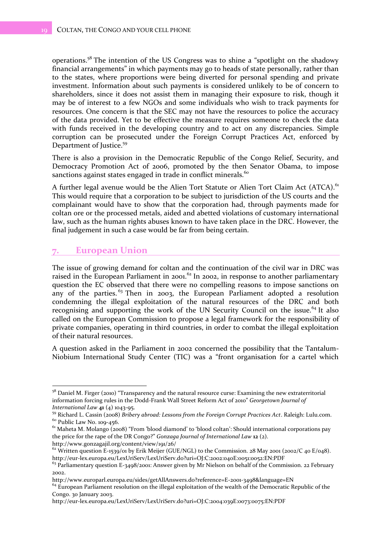operations.<sup>58</sup> The intention of the US Congress was to shine a "spotlight on the shadowy financial arrangements" in which payments may go to heads of state personally, rather than to the states, where proportions were being diverted for personal spending and private investment. Information about such payments is considered unlikely to be of concern to shareholders, since it does not assist them in managing their exposure to risk, though it may be of interest to a few NGOs and some individuals who wish to track payments for resources. One concern is that the SEC may not have the resources to police the accuracy of the data provided. Yet to be effective the measure requires someone to check the data with funds received in the developing country and to act on any discrepancies. Simple corruption can be prosecuted under the Foreign Corrupt Practices Act, enforced by Department of Justice.<sup>59</sup>

There is also a provision in the Democratic Republic of the Congo Relief, Security, and Democracy Promotion Act of 2006, promoted by the then Senator Obama, to impose sanctions against states engaged in trade in conflict minerals.<sup>60</sup>

A further legal avenue would be the Alien Tort Statute or Alien Tort Claim Act (ATCA).<sup>61</sup> This would require that a corporation to be subject to jurisdiction of the US courts and the complainant would have to show that the corporation had, through payments made for coltan ore or the processed metals, aided and abetted violations of customary international law, such as the human rights abuses known to have taken place in the DRC. However, the final judgement in such a case would be far from being certain.

## <span id="page-18-0"></span>**7. European Union**

<u>.</u>

The issue of growing demand for coltan and the continuation of the civil war in DRC was raised in the European Parliament in 2001.<sup>62</sup> In 2002, in response to another parliamentary question the EC observed that there were no compelling reasons to impose sanctions on any of the parties.<sup>63</sup> Then in 2003, the European Parliament adopted a resolution condemning the illegal exploitation of the natural resources of the DRC and both recognising and supporting the work of the UN Security Council on the issue.<sup>64</sup> It also called on the European Commission to propose a legal framework for the responsibility of private companies, operating in third countries, in order to combat the illegal exploitation of their natural resources.

A question asked in the Parliament in 2002 concerned the possibility that the Tantalum-Niobium International Study Center (TIC) was a "front organisation for a cartel which

 $58$  Daniel M. Firger (2010) "Transparency and the natural resource curse: Examining the new extraterritorial information forcing rules in the Dodd-Frank Wall Street Reform Act of 2010" *Georgetown Journal of International Law* **41** (4) 1043-95.

<sup>59</sup> Richard L. Cassin (2008) *Bribery abroad: Lessons from the Foreign Corrupt Practices Act*. Raleigh: Lulu.com. <sup>60</sup> Public Law No. 109-456.

<sup>61</sup> Maheta M. Molango (2008) "From 'blood diamond' to 'blood coltan': Should international corporations pay the price for the rape of the DR Congo?" *Gonzaga Journal of International Law* **12** (2). http://www.gonzagajil.org/content/view/191/26/

 $^{62}$  Written question E-1539/01 by Erik Meijer (GUE/NGL) to the Commission. 28 May 2001 (2002/C 40 E/048). http://eur-lex.europa.eu/LexUriServ/LexUriServ.do?uri=OJ:C:2002:040E:0051:0052:EN:PDF

<sup>&</sup>lt;sup>63</sup> Parliamentary question E-3498/2001: Answer given by Mr Nielson on behalf of the Commission. 22 February 2002.

http://www.europarl.europa.eu/sides/getAllAnswers.do?reference=E-2001-3498&language=EN

<sup>&</sup>lt;sup>64</sup> European Parliament resolution on the illegal exploitation of the wealth of the Democratic Republic of the Congo. 30 January 2003.

http://eur-lex.europa.eu/LexUriServ/LexUriServ.do?uri=OJ:C:2004:039E:0073:0075:EN:PDF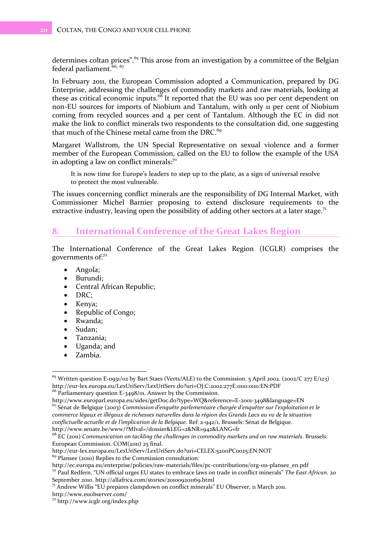determines coltan prices".<sup>65</sup> This arose from an investigation by a committee of the Belgian federal parliament.<sup>66, 67</sup>

In February 2011, the European Commission adopted a Communication, prepared by DG Enterprise, addressing the challenges of commodity markets and raw materials, looking at these as critical economic inputs. $^{68}$  It reported that the EU was 100 per cent dependent on non-EU sources for imports of Niobium and Tantalum, with only 11 per cent of Niobium coming from recycled sources and 4 per cent of Tantalum. Although the EC in did not make the link to conflict minerals two respondents to the consultation did, one suggesting that much of the Chinese metal came from the DRC.<sup>69</sup>

Margaret Wallstrom, the UN Special Representative on sexual violence and a former member of the European Commission, called on the EU to follow the example of the USA in adopting a law on conflict minerals:<sup>70</sup>

It is now time for Europe's leaders to step up to the plate, as a sign of universal resolve to protect the most vulnerable.

The issues concerning conflict minerals are the responsibility of DG Internal Market, with Commissioner Michel Barnier proposing to extend disclosure requirements to the extractive industry, leaving open the possibility of adding other sectors at a later stage.<sup>71</sup>

# <span id="page-19-0"></span>**8. International Conference of the Great Lakes Region**

The International Conference of the Great Lakes Region (ICGLR) comprises the governments of:<sup>72</sup>

- Angola;
- Burundi;
- Central African Republic;
- DRC;
- Kenya;
- Republic of Congo;
- Rwanda;
- Sudan;
- Tanzania;
- Uganda; and
- Zambia.

1

http://www.europarl.europa.eu/sides/getDoc.do?type=WQ&reference=E-2001-3498&language=EN

<sup>67</sup> Sénat de Belgique (2003) *Commission d'enquête parlementaire chargée d'enquêter sur l'exploitation et le commerce légaux et illégaux de richesses naturelles dans la région des Grands Lacs au vu de la situation conflictuelle actuelle et de l'implication de la Belgique*. Ref: 2-942/1. Brussels: Sénat de Belgique. http://www.senate.be/www/?MIval=/dossier&LEG=2&NR=942&LANG=fr

<sup>68</sup> EC (2011) *Communication on tackling the challenges in commodity markets and on raw materials. Brussels:* European Commission. COM(2011) 25 final.

http://eur-lex.europa.eu/LexUriServ/LexUriServ.do?uri=CELEX:52011PC0025:EN:NOT <sup>69</sup> Plansee (2010) Replies to the Commission consultation:

http://ec.europa.eu/enterprise/policies/raw-materials/files/pc-contributions/org-011-plansee\_en.pdf

<sup>70</sup> Paul Redfern. "UN official urges EU states to embrace laws on trade in conflict minerals" *The East African*. 20 September 2010. http://allafrica.com/stories/201009201169.html

<sup>&</sup>lt;sup>65</sup> Written question E-0931/02 by Bart Staes (Verts/ALE) to the Commission. 5 April 2002. (2002/C 277 E/123) http://eur-lex.europa.eu/LexUriServ/LexUriServ.do?uri=OJ:C:2002:277E:0110:0110:EN:PDF <sup>66</sup> Parliamentary question E-3498/01. Answer by the Commission.

 $71$  Andrew Willis "EU prepares clampdown on conflict minerals" EU Observer, 11 March 2011.

http://www.euobserver.com/

<sup>72</sup> http://www.icglr.org/index.php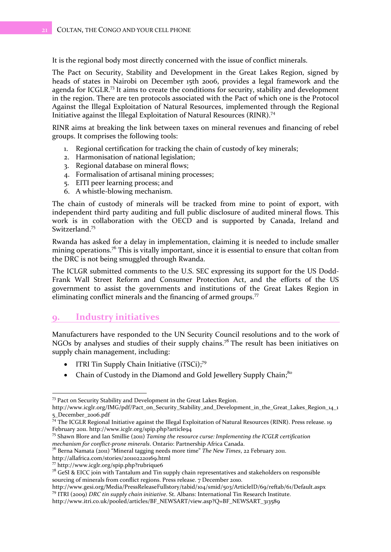It is the regional body most directly concerned with the issue of conflict minerals.

The Pact on Security, Stability and Development in the Great Lakes Region, signed by heads of states in Nairobi on December 15th 2006, provides a legal framework and the agenda for ICGLR.<sup>73</sup> It aims to create the conditions for security, stability and development in the region. There are ten protocols associated with the Pact of which one is the Protocol Against the Illegal Exploitation of Natural Resources, implemented through the Regional Initiative against the Illegal Exploitation of Natural Resources (RINR). 74

RINR aims at breaking the link between taxes on mineral revenues and financing of rebel groups. It comprises the following tools:

- 1. Regional certification for tracking the chain of custody of key minerals;
- 2. Harmonisation of national legislation;
- 3. Regional database on mineral flows;
- 4. Formalisation of artisanal mining processes;
- 5. EITI peer learning process; and
- 6. A whistle-blowing mechanism.

The chain of custody of minerals will be tracked from mine to point of export, with independent third party auditing and full public disclosure of audited mineral flows. This work is in collaboration with the OECD and is supported by Canada, Ireland and Switzerland.<sup>75</sup>

Rwanda has asked for a delay in implementation, claiming it is needed to include smaller mining operations.<sup>76</sup> This is vitally important, since it is essential to ensure that coltan from the DRC is not being smuggled through Rwanda.

The ICLGR submitted comments to the U.S. SEC expressing its support for the US Dodd-Frank Wall Street Reform and Consumer Protection Act, and the efforts of the US government to assist the governments and institutions of the Great Lakes Region in eliminating conflict minerals and the financing of armed groups. $77$ 

# <span id="page-20-0"></span>**9. Industry initiatives**

-

Manufacturers have responded to the UN Security Council resolutions and to the work of NGOs by analyses and studies of their supply chains.<sup>78</sup> The result has been initiatives on supply chain management, including:

- ITRI Tin Supply Chain Initiative (iTSCi);<sup>79</sup>
- Chain of Custody in the Diamond and Gold Jewellery Supply Chain; $80$

<sup>73</sup> Pact on Security Stability and Development in the Great Lakes Region.

http://www.icglr.org/IMG/pdf/Pact\_on\_Security\_Stability\_and\_Development\_in\_the\_Great\_Lakes\_Region\_14\_1 5\_December\_2006.pdf

 $^{74}$  The ICGLR Regional Initiative against the Illegal Exploitation of Natural Resources (RINR). Press release. 19 February 2011. http://www.icglr.org/spip.php?article94

<sup>75</sup> Shawn Blore and Ian Smillie (2011) *Taming the resource curse: Implementing the ICGLR certification mechanism for conflict-prone minerals*. Ontario: Partnership Africa Canada.

<sup>76</sup> Berna Namata (2011) "Mineral tagging needs more time" *The New Times*, 22 February 2011.

http://allafrica.com/stories/201102220169.html

<sup>77</sup> http://www.icglr.org/spip.php?rubrique6

<sup>&</sup>lt;sup>78</sup> GeSI & EICC join with Tantalum and Tin supply chain representatives and stakeholders on responsible sourcing of minerals from conflict regions. Press release. 7 December 2010.

http://www.gesi.org/Media/PressReleaseFullstory/tabid/104/smid/503/ArticleID/69/reftab/61/Default.aspx <sup>79</sup> ITRI (2009) *DRC tin supply chain initiative*. St. Albans: International Tin Research Institute.

http://www.itri.co.uk/pooled/articles/BF\_NEWSART/view.asp?Q=BF\_NEWSART\_313589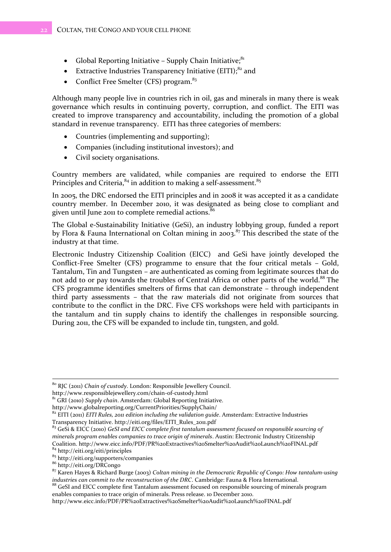- Global Reporting Initiative Supply Chain Initiative; $81$
- Extractive Industries Transparency Initiative (EITI); $^{82}$  and
- Conflict Free Smelter (CFS) program.<sup>83</sup>

Although many people live in countries rich in oil, gas and minerals in many there is weak governance which results in continuing poverty, corruption, and conflict. The EITI was created to improve transparency and accountability, including the promotion of a global standard in revenue transparency. EITI has three categories of members:

- Countries (implementing and supporting);
- Companies (including institutional investors); and
- Civil society organisations.

Country members are validated, while companies are required to endorse the EITI Principles and Criteria,<sup>84</sup> in addition to making a self-assessment.<sup>85</sup>

In 2005, the DRC endorsed the EITI principles and in 2008 it was accepted it as a candidate country member. In December 2010, it was designated as being close to compliant and given until June 2011 to complete remedial actions. $\frac{8}{3}$ 

The Global e-Sustainability Initiative (GeSi), an industry lobbying group, funded a report by Flora & Fauna International on Coltan mining in 2003.<sup>87</sup> This described the state of the industry at that time.

Electronic Industry Citizenship Coalition (EICC) and GeSi have jointly developed the Conflict-Free Smelter (CFS) programme to ensure that the four critical metals – Gold, Tantalum, Tin and Tungsten – are authenticated as coming from legitimate sources that do not add to or pay towards the troubles of Central Africa or other parts of the world.<sup>88</sup> The CFS programme identifies smelters of firms that can demonstrate – through independent third party assessments – that the raw materials did not originate from sources that contribute to the conflict in the DRC. Five CFS workshops were held with participants in the tantalum and tin supply chains to identify the challenges in responsible sourcing. During 2011, the CFS will be expanded to include tin, tungsten, and gold.

-

<sup>80</sup> RJC (2011) *Chain of custody*. London: Responsible Jewellery Council.

http://www.responsiblejewellery.com/chain-of-custody.html

<sup>81</sup> GRI (2010) *Supply chain*. Amsterdam: Global Reporting Initiative.

http://www.globalreporting.org/CurrentPriorities/SupplyChain/

<sup>82</sup> EITI (2011) *EITI Rules, 2011 edition including the validation guide*. Amsterdam: Extractive Industries Transparency Initiative. http://eiti.org/files/EITI\_Rules\_2011.pdf

<sup>83</sup> GeSi & EICC (2010) *GeSI and EICC complete first tantalum assessment focused on responsible sourcing of minerals program enables companies to trace origin of minerals*. Austin: Electronic Industry Citizenship Coalition. http://www.eicc.info/PDF/PR%20Extractives%20Smelter%20Audit%20Launch%20FINAL.pdf <sup>84</sup> http://eiti.org/eiti/principles

<sup>85</sup> http://eiti.org/supporters/companies

<sup>86</sup> http://eiti.org/DRCongo

<sup>87</sup> Karen Hayes & Richard Burge (2003) *Coltan mining in the Democratic Republic of Congo: How tantalum-using industries can commit to the reconstruction of the DRC*. Cambridge: Fauna & Flora International.

<sup>&</sup>lt;sup>88</sup> GeSI and EICC complete first Tantalum assessment focused on responsible sourcing of minerals program enables companies to trace origin of minerals. Press release. 10 December 2010.

http://www.eicc.info/PDF/PR%20Extractives%20Smelter%20Audit%20Launch%20FINAL.pdf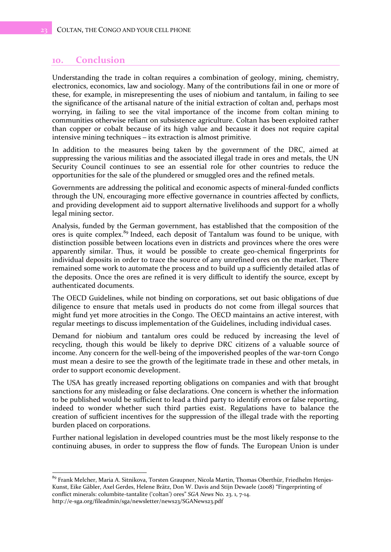### <span id="page-22-0"></span>**10. Conclusion**

1

Understanding the trade in coltan requires a combination of geology, mining, chemistry, electronics, economics, law and sociology. Many of the contributions fail in one or more of these, for example, in misrepresenting the uses of niobium and tantalum, in failing to see the significance of the artisanal nature of the initial extraction of coltan and, perhaps most worrying, in failing to see the vital importance of the income from coltan mining to communities otherwise reliant on subsistence agriculture. Coltan has been exploited rather than copper or cobalt because of its high value and because it does not require capital intensive mining techniques – its extraction is almost primitive.

In addition to the measures being taken by the government of the DRC, aimed at suppressing the various militias and the associated illegal trade in ores and metals, the UN Security Council continues to see an essential role for other countries to reduce the opportunities for the sale of the plundered or smuggled ores and the refined metals.

Governments are addressing the political and economic aspects of mineral-funded conflicts through the UN, encouraging more effective governance in countries affected by conflicts, and providing development aid to support alternative livelihoods and support for a wholly legal mining sector.

Analysis, funded by the German government, has established that the composition of the ores is quite complex.<sup>89</sup> Indeed, each deposit of Tantalum was found to be unique, with distinction possible between locations even in districts and provinces where the ores were apparently similar. Thus, it would be possible to create geo-chemical fingerprints for individual deposits in order to trace the source of any unrefined ores on the market. There remained some work to automate the process and to build up a sufficiently detailed atlas of the deposits. Once the ores are refined it is very difficult to identify the source, except by authenticated documents.

The OECD Guidelines, while not binding on corporations, set out basic obligations of due diligence to ensure that metals used in products do not come from illegal sources that might fund yet more atrocities in the Congo. The OECD maintains an active interest, with regular meetings to discuss implementation of the Guidelines, including individual cases.

Demand for niobium and tantalum ores could be reduced by increasing the level of recycling, though this would be likely to deprive DRC citizens of a valuable source of income. Any concern for the well-being of the impoverished peoples of the war-torn Congo must mean a desire to see the growth of the legitimate trade in these and other metals, in order to support economic development.

The USA has greatly increased reporting obligations on companies and with that brought sanctions for any misleading or false declarations. One concern is whether the information to be published would be sufficient to lead a third party to identify errors or false reporting, indeed to wonder whether such third parties exist. Regulations have to balance the creation of sufficient incentives for the suppression of the illegal trade with the reporting burden placed on corporations.

Further national legislation in developed countries must be the most likely response to the continuing abuses, in order to suppress the flow of funds. The European Union is under

<sup>&</sup>lt;sup>89</sup> Frank Melcher, Maria A. Sitnikova, Torsten Graupner, Nicola Martin, Thomas Oberthür, Friedhelm Henjes-Kunst, Eike Gäbler, Axel Gerdes, Helene Brätz, Don W. Davis and Stijn Dewaele (2008) "Fingerprinting of conflict minerals: columbite-tantalite ('coltan') ores" *SGA News* No. 23. 1, 7-14. http://e-sga.org/fileadmin/sga/newsletter/news23/SGANews23.pdf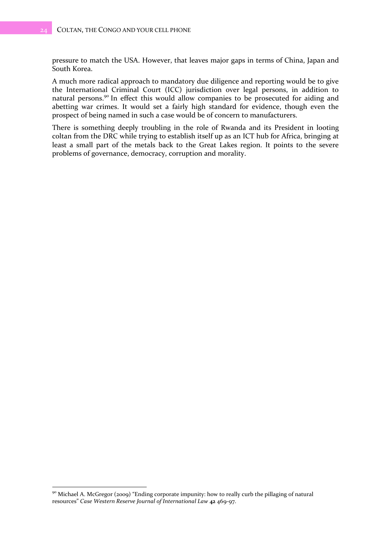pressure to match the USA. However, that leaves major gaps in terms of China, Japan and South Korea.

A much more radical approach to mandatory due diligence and reporting would be to give the International Criminal Court (ICC) jurisdiction over legal persons, in addition to natural persons.<sup>90</sup> In effect this would allow companies to be prosecuted for aiding and abetting war crimes. It would set a fairly high standard for evidence, though even the prospect of being named in such a case would be of concern to manufacturers.

There is something deeply troubling in the role of Rwanda and its President in looting coltan from the DRC while trying to establish itself up as an ICT hub for Africa, bringing at least a small part of the metals back to the Great Lakes region. It points to the severe problems of governance, democracy, corruption and morality.

1

<sup>&</sup>lt;sup>90</sup> Michael A. McGregor (2009) "Ending corporate impunity: how to really curb the pillaging of natural resources" *Case Western Reserve Journal of International Law* **42** 469-97.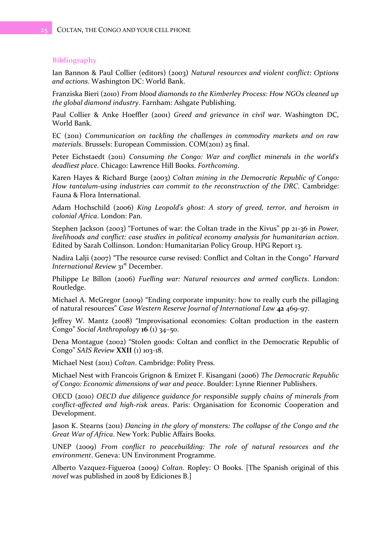#### <span id="page-24-0"></span>**Bibliography**

Ian Bannon & Paul Collier (editors) (2003) *Natural resources and violent conflict: Options and actions*. Washington DC: World Bank.

Franziska Bieri (2010) *From blood diamonds to the Kimberley Process: How NGOs cleaned up the global diamond industry*. Farnham: Ashgate Publishing.

Paul Collier & Anke Hoeffler (2001) *Greed and grievance in civil war*. Washington DC, World Bank.

EC (2011) *Communication on tackling the challenges in commodity markets and on raw materials*. Brussels: European Commission. COM(2011) 25 final.

Peter Eichstaedt (2011) *Consuming the Congo: War and conflict minerals in the world's deadliest place*. Chicago: Lawrence Hill Books. *Forthcoming*.

Karen Hayes & Richard Burge (2003) *Coltan mining in the Democratic Republic of Congo: How tantalum-using industries can commit to the reconstruction of the DRC*. Cambridge: Fauna & Flora International.

Adam Hochschild (2006) *King Leopold's ghost: A story of greed, terror, and heroism in colonial Africa*. London: Pan.

Stephen Jackson (2003) "Fortunes of war: the Coltan trade in the Kivus" pp 21-36 in *Power, livelihoods and conflict: case studies in political economy analysis for humanitarian action*. Edited by Sarah Collinson. London: Humanitarian Policy Group. HPG Report 13.

Nadira Lalji (2007) "The resource curse revised: Conflict and Coltan in the Congo" *Harvard International Review* 31<sup>st</sup> December.

Philippe Le Billon (2006) *Fuelling war: Natural resources and armed conflicts*. London: Routledge.

Michael A. McGregor (2009) "Ending corporate impunity: how to really curb the pillaging of natural resources" *Case Western Reserve Journal of International Law* **42** 469-97.

Jeffrey W. Mantz (2008) "Improvisational economies: Coltan production in the eastern Congo" *Social Anthropology* **16** (1) 34–50.

Dena Montague (2002) "Stolen goods: Coltan and conflict in the Democratic Republic of Congo" *SAIS Review* **XXII** (1) 103-18.

Michael Nest (2011) *Coltan*. Cambridge: Polity Press.

Michael Nest with Francois Grignon & Emizet F. Kisangani (2006) *The Democratic Republic of Congo: Economic dimensions of war and peace*. Boulder: Lynne Rienner Publishers.

OECD (2010) *OECD due diligence guidance for responsible supply chains of minerals from conflict-affected and high-risk areas*. Paris: Organisation for Economic Cooperation and Development.

Jason K. Stearns (2011) *Dancing in the glory of monsters: The collapse of the Congo and the Great War of Africa*. New York: Public Affairs Books.

UNEP (2009) *From conflict to peacebuilding: The role of natural resources and the environment*. Geneva: UN Environment Programme.

Alberto Vazquez-Figueroa (2009) *Coltan*. Ropley: O Books. [The Spanish original of this *novel* was published in 2008 by Ediciones B.]